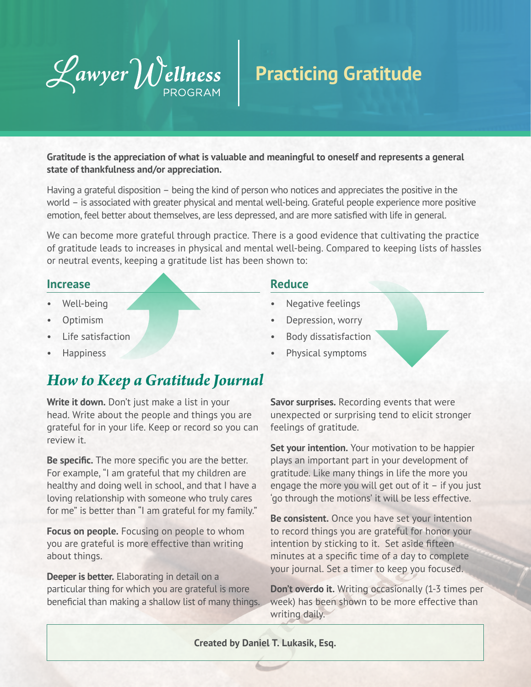

## **Practicing Gratitude**

**Gratitude is the appreciation of what is valuable and meaningful to oneself and represents a general state of thankfulness and/or appreciation.** 

Having a grateful disposition – being the kind of person who notices and appreciates the positive in the world – is associated with greater physical and mental well-being. Grateful people experience more positive emotion, feel better about themselves, are less depressed, and are more satisfied with life in general.

We can become more grateful through practice. There is a good evidence that cultivating the practice of gratitude leads to increases in physical and mental well-being. Compared to keeping lists of hassles or neutral events, keeping a gratitude list has been shown to:

#### **Increase**

- Well-being
- Optimism
- Life satisfaction
- **Happiness**

### *How to Keep a Gratitude Journal*

**Write it down.** Don't just make a list in your head. Write about the people and things you are grateful for in your life. Keep or record so you can review it.

**Be specific.** The more specific you are the better. For example, "I am grateful that my children are healthy and doing well in school, and that I have a loving relationship with someone who truly cares for me" is better than "I am grateful for my family."

**Focus on people.** Focusing on people to whom you are grateful is more effective than writing about things.

**Deeper is better.** Elaborating in detail on a particular thing for which you are grateful is more beneficial than making a shallow list of many things.

#### **Reduce**

- Negative feelings
- Depression, worry
- Body dissatisfaction
- Physical symptoms

**Savor surprises.** Recording events that were unexpected or surprising tend to elicit stronger feelings of gratitude.

**Set your intention.** Your motivation to be happier plays an important part in your development of gratitude. Like many things in life the more you engage the more you will get out of it – if you just 'go through the motions' it will be less effective.

**Be consistent.** Once you have set your intention to record things you are grateful for honor your intention by sticking to it. Set aside fifteen minutes at a specific time of a day to complete your journal. Set a timer to keep you focused.

**Don't overdo it.** Writing occasionally (1-3 times per week) has been shown to be more effective than writing daily.

#### **Created by Daniel T. Lukasik, Esq.**